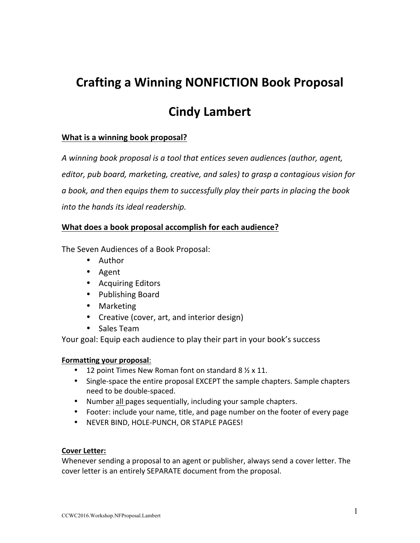## **Crafting a Winning NONFICTION Book Proposal**

## **Cindy Lambert**

#### **What is a winning book proposal?**

A winning book proposal is a tool that entices seven audiences (author, agent, editor, pub board, marketing, creative, and sales) to grasp a contagious vision for a book, and then equips them to successfully play their parts in placing the book *into the hands its ideal readership.* 

#### **What does a book proposal accomplish for each audience?**

The Seven Audiences of a Book Proposal:

- Author
- Agent
- Acquiring Editors
- Publishing Board
- Marketing
- Creative (cover, art, and interior design)
- Sales Team

Your goal: Equip each audience to play their part in your book's success

#### **Formatting your proposal:**

- 12 point Times New Roman font on standard  $8 \frac{1}{2} \times 11$ .
- Single-space the entire proposal EXCEPT the sample chapters. Sample chapters need to be double-spaced.
- Number all pages sequentially, including your sample chapters.
- Footer: include your name, title, and page number on the footer of every page
- NEVER BIND, HOLE-PUNCH, OR STAPLE PAGES!

#### **Cover Letter:**

Whenever sending a proposal to an agent or publisher, always send a cover letter. The cover letter is an entirely SEPARATE document from the proposal.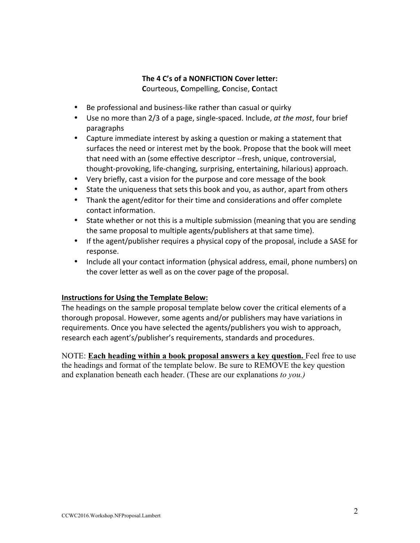#### The 4 C's of a NONFICTION Cover letter: **C**ourteous, **C**ompelling, **C**oncise, **C**ontact

• Be professional and business-like rather than casual or quirky

- Use no more than 2/3 of a page, single-spaced. Include, *at the most*, four brief paragraphs
- Capture immediate interest by asking a question or making a statement that surfaces the need or interest met by the book. Propose that the book will meet that need with an (some effective descriptor --fresh, unique, controversial, thought-provoking, life-changing, surprising, entertaining, hilarious) approach.
- Very briefly, cast a vision for the purpose and core message of the book
- State the uniqueness that sets this book and you, as author, apart from others
- Thank the agent/editor for their time and considerations and offer complete contact information.
- State whether or not this is a multiple submission (meaning that you are sending the same proposal to multiple agents/publishers at that same time).
- If the agent/publisher requires a physical copy of the proposal, include a SASE for response.
- Include all your contact information (physical address, email, phone numbers) on the cover letter as well as on the cover page of the proposal.

#### **Instructions for Using the Template Below:**

The headings on the sample proposal template below cover the critical elements of a thorough proposal. However, some agents and/or publishers may have variations in requirements. Once you have selected the agents/publishers you wish to approach, research each agent's/publisher's requirements, standards and procedures.

NOTE: **Each heading within a book proposal answers a key question.** Feel free to use the headings and format of the template below. Be sure to REMOVE the key question and explanation beneath each header. (These are our explanations *to you.)*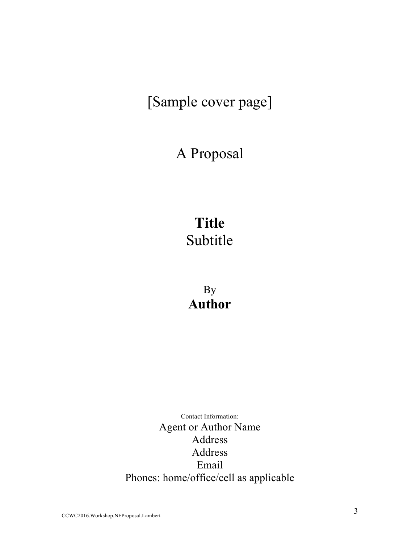# [Sample cover page]

## A Proposal

# **Title** Subtitle

By **Author**

Contact Information: Agent or Author Name Address Address Email Phones: home/office/cell as applicable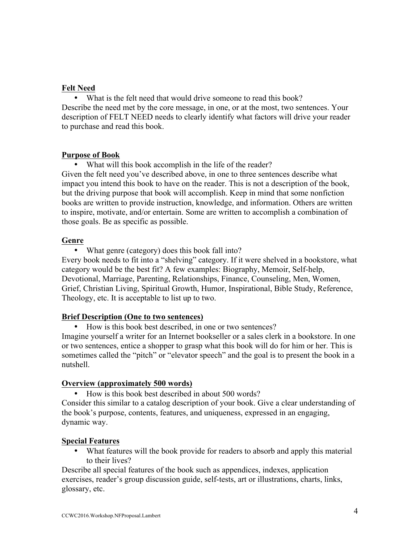#### **Felt Need**

• What is the felt need that would drive someone to read this book? Describe the need met by the core message, in one, or at the most, two sentences. Your description of FELT NEED needs to clearly identify what factors will drive your reader to purchase and read this book.

#### **Purpose of Book**

What will this book accomplish in the life of the reader? Given the felt need you've described above, in one to three sentences describe what impact you intend this book to have on the reader. This is not a description of the book, but the driving purpose that book will accomplish. Keep in mind that some nonfiction books are written to provide instruction, knowledge, and information. Others are written to inspire, motivate, and/or entertain. Some are written to accomplish a combination of those goals. Be as specific as possible.

#### **Genre**

• What genre (category) does this book fall into?

Every book needs to fit into a "shelving" category. If it were shelved in a bookstore, what category would be the best fit? A few examples: Biography, Memoir, Self-help, Devotional, Marriage, Parenting, Relationships, Finance, Counseling, Men, Women, Grief, Christian Living, Spiritual Growth, Humor, Inspirational, Bible Study, Reference, Theology, etc. It is acceptable to list up to two.

#### **Brief Description (One to two sentences)**

• How is this book best described, in one or two sentences?

Imagine yourself a writer for an Internet bookseller or a sales clerk in a bookstore. In one or two sentences, entice a shopper to grasp what this book will do for him or her. This is sometimes called the "pitch" or "elevator speech" and the goal is to present the book in a nutshell.

#### **Overview (approximately 500 words)**

• How is this book best described in about 500 words?

Consider this similar to a catalog description of your book. Give a clear understanding of the book's purpose, contents, features, and uniqueness, expressed in an engaging, dynamic way.

#### **Special Features**

• What features will the book provide for readers to absorb and apply this material to their lives?

Describe all special features of the book such as appendices, indexes, application exercises, reader's group discussion guide, self-tests, art or illustrations, charts, links, glossary, etc.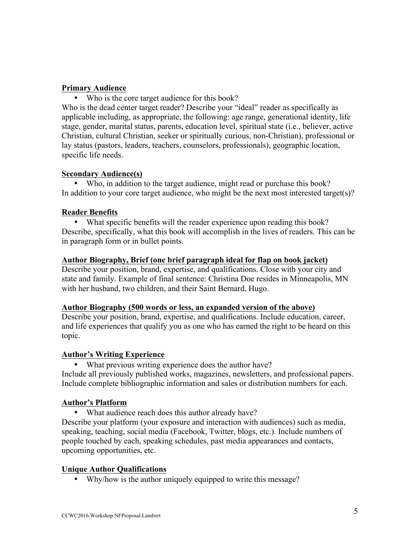#### **Primary Audience**

• Who is the core target audience for this book?

Who is the dead center target reader? Describe your "ideal" reader as specifically as applicable including, as appropriate, the following: age range, generational identity, life stage, gender, marital status, parents, education level, spiritual state (i.e., believer, active Christian, cultural Christian, seeker or spiritually curious, non-Christian), professional or lay status (pastors, leaders, teachers, counselors, professionals), geographic location, specific life needs.

#### **Secondary Audience(s)**

Who, in addition to the target audience, might read or purchase this book? In addition to your core target audience, who might be the next most interested target(s)?

#### **Reader Benefits**

• What specific benefits will the reader experience upon reading this book? Describe, specifically, what this book will accomplish in the lives of readers. This can be in paragraph form or in bullet points.

#### **Author Biography, Brief (one brief paragraph ideal for flap on book jacket)**

Describe your position, brand, expertise, and qualifications. Close with your city and state and family. Example of final sentence: Christina Doe resides in Minneapolis, MN with her husband, two children, and their Saint Bernard, Hugo.

#### **Author Biography (500 words or less, an expanded version of the above)**

Describe your position, brand, expertise, and qualifications. Include education, career, and life experiences that qualify you as one who has earned the right to be heard on this topic.

#### **Author's Writing Experience**

• What previous writing experience does the author have? Include all previously published works, magazines, newsletters, and professional papers. Include complete bibliographic information and sales or distribution numbers for each.

#### **Author's Platform**

What audience reach does this author already have?

Describe your platform (your exposure and interaction with audiences) such as media, speaking, teaching, social media (Facebook, Twitter, blogs, etc.). Include numbers of people touched by each, speaking schedules, past media appearances and contacts, upcoming opportunities, etc.

#### **Unique Author Qualifications**

• Why/how is the author uniquely equipped to write this message?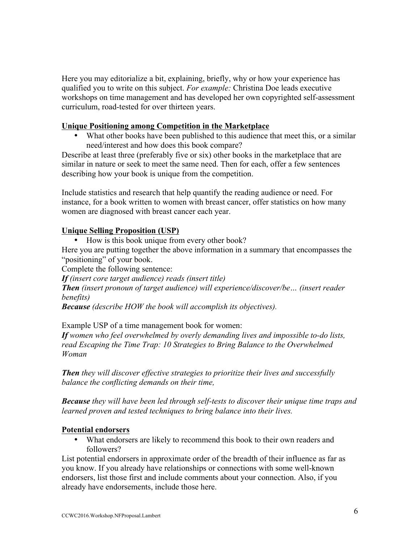Here you may editorialize a bit, explaining, briefly, why or how your experience has qualified you to write on this subject. *For example:* Christina Doe leads executive workshops on time management and has developed her own copyrighted self-assessment curriculum, road-tested for over thirteen years.

#### **Unique Positioning among Competition in the Marketplace**

• What other books have been published to this audience that meet this, or a similar need/interest and how does this book compare?

Describe at least three (preferably five or six) other books in the marketplace that are similar in nature or seek to meet the same need. Then for each, offer a few sentences describing how your book is unique from the competition.

Include statistics and research that help quantify the reading audience or need. For instance, for a book written to women with breast cancer, offer statistics on how many women are diagnosed with breast cancer each year.

#### **Unique Selling Proposition (USP)**

• How is this book unique from every other book?

Here you are putting together the above information in a summary that encompasses the "positioning" of your book.

Complete the following sentence:

*If (insert core target audience) reads (insert title)*

*Then (insert pronoun of target audience) will experience/discover/be… (insert reader benefits)*

*Because (describe HOW the book will accomplish its objectives).*

Example USP of a time management book for women:

*If women who feel overwhelmed by overly demanding lives and impossible to-do lists, read Escaping the Time Trap: 10 Strategies to Bring Balance to the Overwhelmed Woman*

*Then they will discover effective strategies to prioritize their lives and successfully balance the conflicting demands on their time,*

*Because they will have been led through self-tests to discover their unique time traps and learned proven and tested techniques to bring balance into their lives.*

#### **Potential endorsers**

• What endorsers are likely to recommend this book to their own readers and followers?

List potential endorsers in approximate order of the breadth of their influence as far as you know. If you already have relationships or connections with some well-known endorsers, list those first and include comments about your connection. Also, if you already have endorsements, include those here.